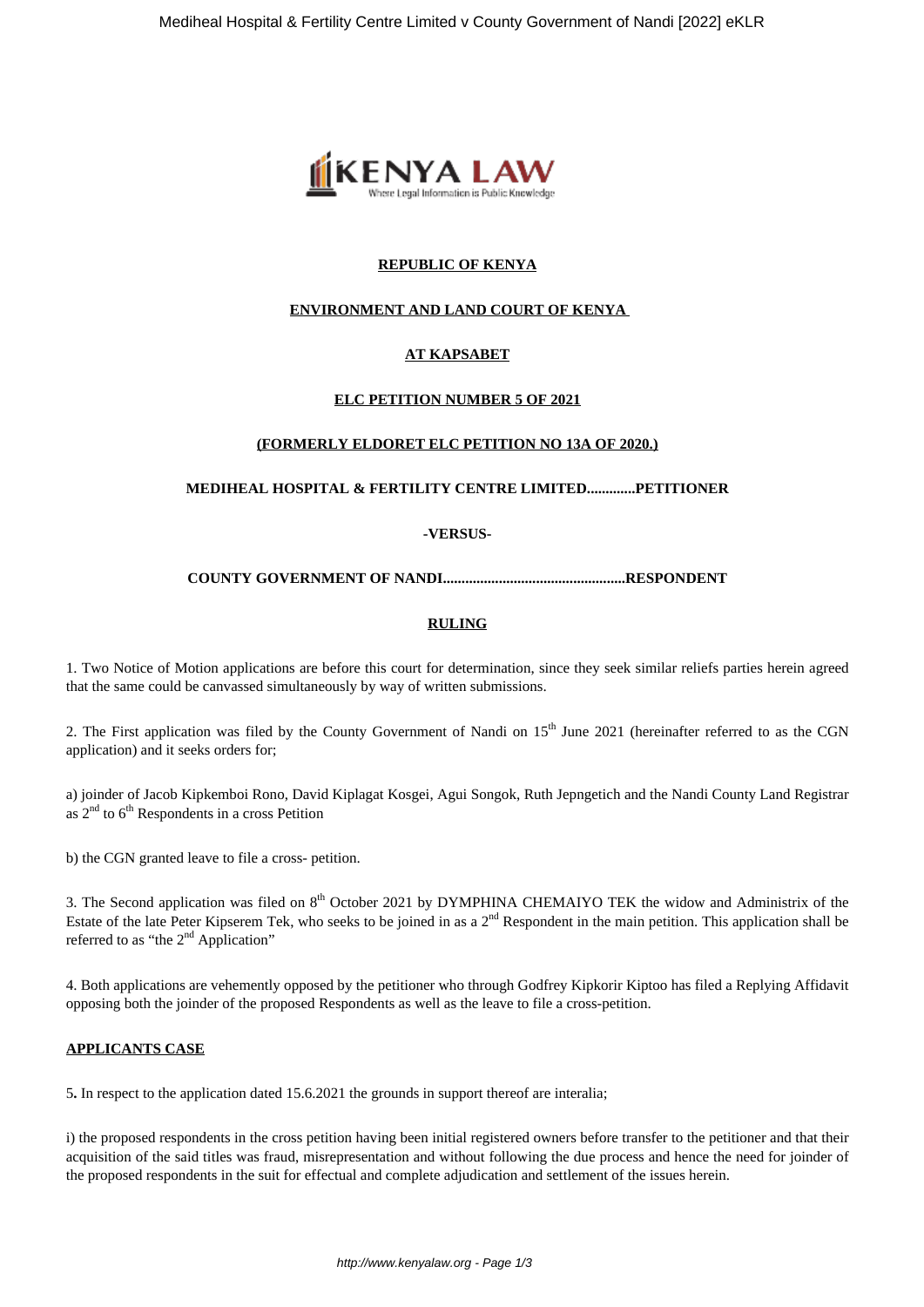

# **REPUBLIC OF KENYA**

# **ENVIRONMENT AND LAND COURT OF KENYA**

# **AT KAPSABET**

## **ELC PETITION NUMBER 5 OF 2021**

#### **(FORMERLY ELDORET ELC PETITION NO 13A OF 2020.)**

#### **MEDIHEAL HOSPITAL & FERTILITY CENTRE LIMITED.............PETITIONER**

#### **-VERSUS-**

#### **COUNTY GOVERNMENT OF NANDI.................................................RESPONDENT**

#### **RULING**

1. Two Notice of Motion applications are before this court for determination, since they seek similar reliefs parties herein agreed that the same could be canvassed simultaneously by way of written submissions.

2. The First application was filed by the County Government of Nandi on  $15<sup>th</sup>$  June 2021 (hereinafter referred to as the CGN application) and it seeks orders for;

a) joinder of Jacob Kipkemboi Rono, David Kiplagat Kosgei, Agui Songok, Ruth Jepngetich and the Nandi County Land Registrar as  $2<sup>nd</sup>$  to  $6<sup>th</sup>$  Respondents in a cross Petition

b) the CGN granted leave to file a cross- petition.

3. The Second application was filed on 8<sup>th</sup> October 2021 by DYMPHINA CHEMAIYO TEK the widow and Administrix of the Estate of the late Peter Kipserem Tek, who seeks to be joined in as a 2<sup>nd</sup> Respondent in the main petition. This application shall be referred to as "the 2<sup>nd</sup> Application"

4. Both applications are vehemently opposed by the petitioner who through Godfrey Kipkorir Kiptoo has filed a Replying Affidavit opposing both the joinder of the proposed Respondents as well as the leave to file a cross-petition.

#### **APPLICANTS CASE**

5**.** In respect to the application dated 15.6.2021 the grounds in support thereof are interalia;

i) the proposed respondents in the cross petition having been initial registered owners before transfer to the petitioner and that their acquisition of the said titles was fraud, misrepresentation and without following the due process and hence the need for joinder of the proposed respondents in the suit for effectual and complete adjudication and settlement of the issues herein.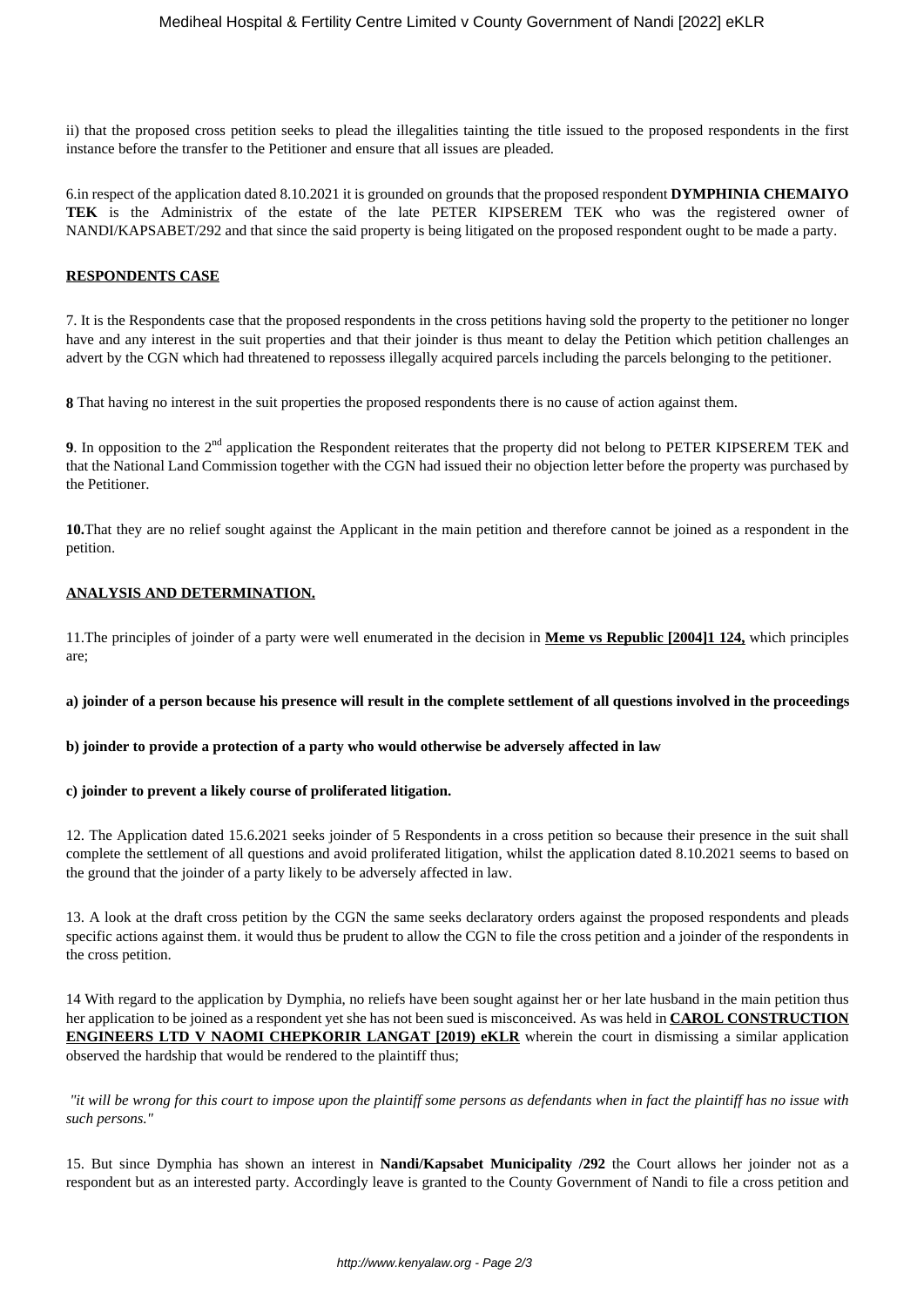ii) that the proposed cross petition seeks to plead the illegalities tainting the title issued to the proposed respondents in the first instance before the transfer to the Petitioner and ensure that all issues are pleaded.

6.in respect of the application dated 8.10.2021 it is grounded on grounds that the proposed respondent **DYMPHINIA CHEMAIYO TEK** is the Administrix of the estate of the late PETER KIPSEREM TEK who was the registered owner of NANDI/KAPSABET/292 and that since the said property is being litigated on the proposed respondent ought to be made a party.

## **RESPONDENTS CASE**

7. It is the Respondents case that the proposed respondents in the cross petitions having sold the property to the petitioner no longer have and any interest in the suit properties and that their joinder is thus meant to delay the Petition which petition challenges an advert by the CGN which had threatened to repossess illegally acquired parcels including the parcels belonging to the petitioner.

**8** That having no interest in the suit properties the proposed respondents there is no cause of action against them.

**9**. In opposition to the 2nd application the Respondent reiterates that the property did not belong to PETER KIPSEREM TEK and that the National Land Commission together with the CGN had issued their no objection letter before the property was purchased by the Petitioner.

**10.**That they are no relief sought against the Applicant in the main petition and therefore cannot be joined as a respondent in the petition.

## **ANALYSIS AND DETERMINATION.**

11.The principles of joinder of a party were well enumerated in the decision in **Meme vs Republic [2004]1 124,** which principles are;

**a) joinder of a person because his presence will result in the complete settlement of all questions involved in the proceedings**

#### **b) joinder to provide a protection of a party who would otherwise be adversely affected in law**

## **c) joinder to prevent a likely course of proliferated litigation.**

12. The Application dated 15.6.2021 seeks joinder of 5 Respondents in a cross petition so because their presence in the suit shall complete the settlement of all questions and avoid proliferated litigation, whilst the application dated 8.10.2021 seems to based on the ground that the joinder of a party likely to be adversely affected in law.

13. A look at the draft cross petition by the CGN the same seeks declaratory orders against the proposed respondents and pleads specific actions against them. it would thus be prudent to allow the CGN to file the cross petition and a joinder of the respondents in the cross petition.

14 With regard to the application by Dymphia, no reliefs have been sought against her or her late husband in the main petition thus her application to be joined as a respondent yet she has not been sued is misconceived. As was held in **CAROL CONSTRUCTION ENGINEERS LTD V NAOMI CHEPKORIR LANGAT [2019) eKLR** wherein the court in dismissing a similar application observed the hardship that would be rendered to the plaintiff thus;

*"it will be wrong for this court to impose upon the plaintiff some persons as defendants when in fact the plaintiff has no issue with such persons."*

15. But since Dymphia has shown an interest in **Nandi/Kapsabet Municipality /292** the Court allows her joinder not as a respondent but as an interested party. Accordingly leave is granted to the County Government of Nandi to file a cross petition and